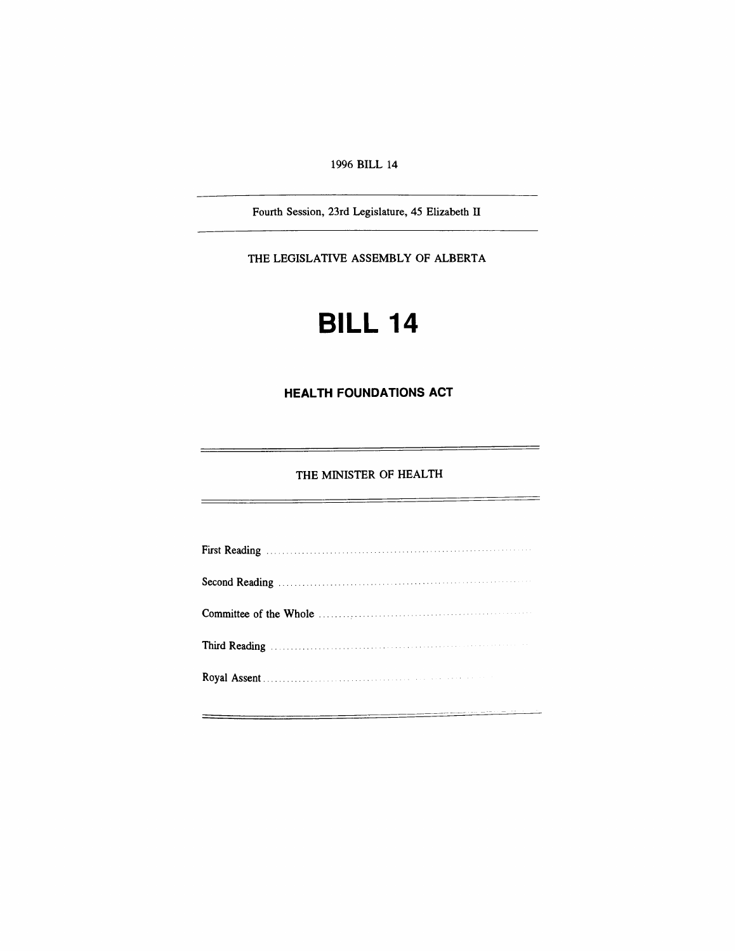### *1996 BILL 14*

*Fourth Session, 23rd Legislature, 45 Elizabeth II*

*THE LEGISLATIVE ASSEMBLY OF ALBERTA*

# *BILL 14*

# *HEALTH FOUNDATIONS ACT*

# *THE MINISTER OF HEALTH*

 $=$ 

| Third Reading Manual Communications and the Reading Communications of the Reading |  |
|-----------------------------------------------------------------------------------|--|
|                                                                                   |  |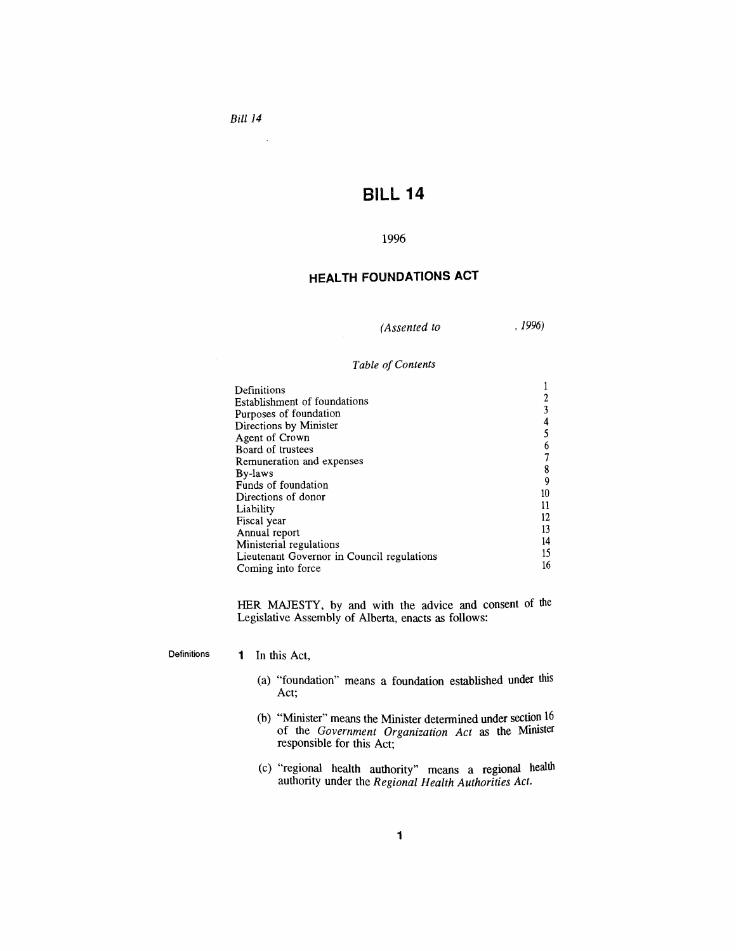$\bar{\mathcal{A}}$ 

# *BILL 14*

#### *1996*

## *HEALTH FOUNDATIONS ACT*

*(Assented to , 1996)*

## *Table ofContents*

| Definitions                                |    |
|--------------------------------------------|----|
| Establishment of foundations               |    |
| Purposes of foundation                     |    |
| Directions by Minister                     |    |
| Agent of Crown                             |    |
| Board of trustees                          |    |
| Remuneration and expenses                  |    |
| By-laws                                    |    |
| Funds of foundation                        |    |
|                                            | 10 |
| Directions of donor                        |    |
| Liability                                  | 12 |
| Fiscal year                                | 13 |
| Annual report                              |    |
| Ministerial regulations                    | 14 |
| Lieutenant Governor in Council regulations | 15 |
| Coming into force                          | 16 |

*HER MAJESTY, by and with the advice and consent of the Legislative Assembly of Alberta, enacts as follows:*

*Definitions <sup>1</sup> In this Act,*

- *(a) "foundation" means a foundation established under this Act;*
- *(b) "Minister" means the Minister determined under section 16 of the Government Organization Act as the Minister responsible for this Act;*
- *(c) "regional health authority" means a regional health authority under the Regional Health Authorities Act.*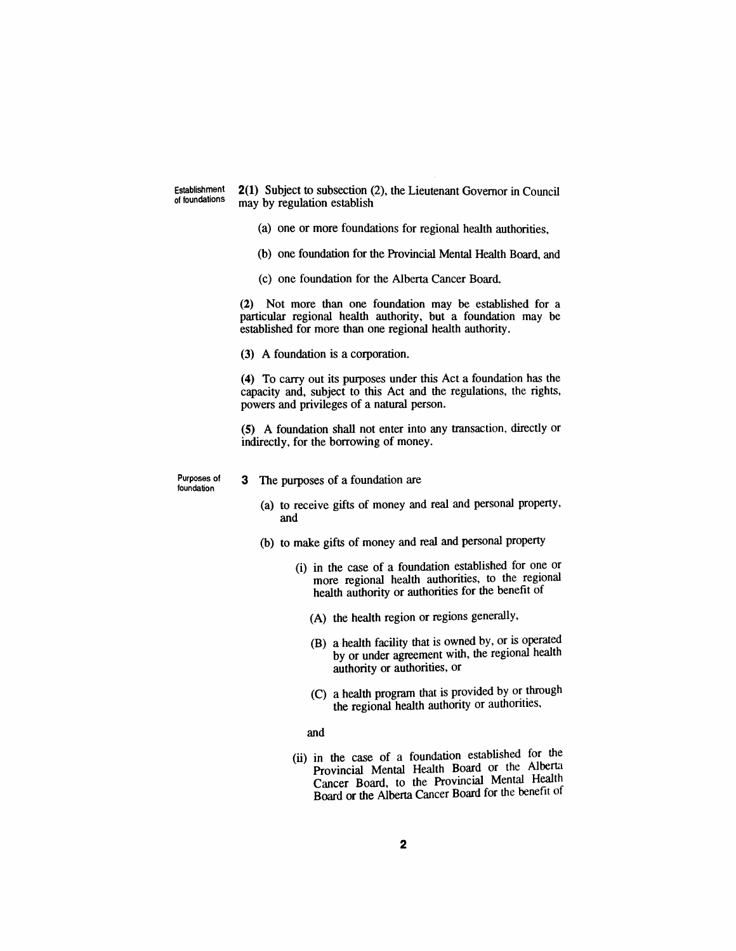*Establishment of foundations*

*2(1) Subject to subsection (2), the Lieutenant Governor in Council may by regulation establish*

- *(a) one or more foundations for regional health authorities,*
- *(b) one foundation for the Provincial Mental Health Board, and*
- *(c) one foundation for the Alberta Cancer Board.*

*(2) Not more than one foundation may be established for a particular regional health authority, but a foundation may be established for more than one regional health authority.*

*(3) A foundation is a corporation.*

*(4) To carry out its purposes under this Act a foundation has the capacity and, subject to this Act and the regulations, the rights, powers and privileges of a natural person.*

*(5) A foundation shall not enter into any transaction, directly or indirectly, for the borrowing of money.*

*Purposes of foundation*

- *3 The purposes of a foundation are*
	- *(a) to receive gifts of money and real and personal property, and*
	- *(b) to make gifts of money and real and personal property*
		- *(i) in the case of a foundation established for one or more regional health authorities, to the regional health authority or authorities for the benefit of*
			- *(A) the health region or regions generally,*
			- *(B) a health facility that is owned by, or is operated by or under agreement with, the regional health authority or authorities, or*
			- *(C) a health program that is provided by or through the regional health authority or authorities,*

*and*

*(ii) in the case of a foundation established for the Provincial Mental Health Board or the Alberta Cancer Board, to the Provincial Mental Health Board or the Alberta Cancer Board for the benefit of*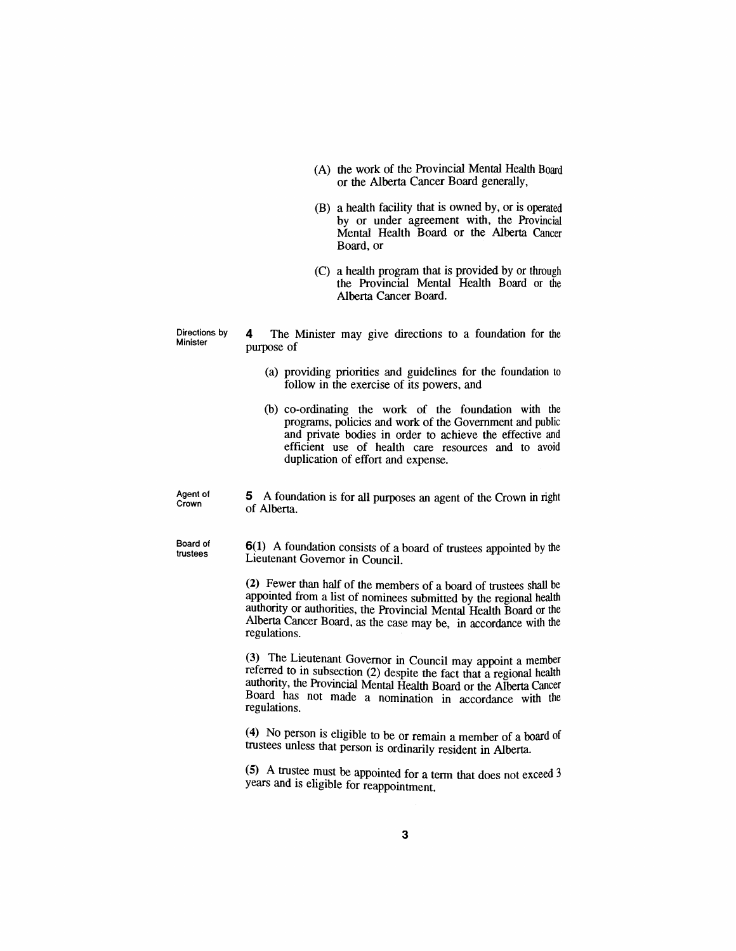- *(A) the work of the Provincial Mental Health Board or the Alberta Cancer Board generally,*
- *(B) a health facility that is owned by, or is operated by or under agreement with, the Provincial Mental Health Board or the Alberta Cancer Board, or*
- *(C) a health program that is provided by or through the Provincial Mental Health Board or the Alberta Cancer Board.*

*Directions by Minister*

*4 The Minister may give directions to a foundation for the purpose of*

- *(a) providing priorities and guidelines for the foundation to follow in the exercise of its powers, and*
- *(b) co-ordinating the work of the foundation with the programs, policies and work of the Government and public and private bodies in order to achieve the effective and efficient use of health care resources and to avoid duplication of effort and expense.*

*Agent of Crown 5 A foundation is for all purposes an agent of the Crown in right of Alberta.*

*Board of trustees*

*6(1) A foundation consists of a board of trustees appointed by the Lieutenant Governor in Council.*

*(2) Fewer than half of the members of a board of trustees shall be appointed from a list of nominees submitted by the regional health authority or authorities, the Provincial Mental Health Board or the Alberta Cancer Board, as the case may be, in accordance with the regulations.*

*(3) The Lieutenant Governor in Council may appoint a member referred to in subsection (2) despite the fact that a regional health authority, the Provincial Mental Health Board or the Alberta Cancer Board has not made a nomination in accordance with the regulations.*

*(4) No person is eligible to be or remain a member of a board of trustees unless that person is ordinarily resident in Alberta.*

*(5) A trustee must be appointed for a term that does not exceed <sup>3</sup> years and is eligible for reappointment.*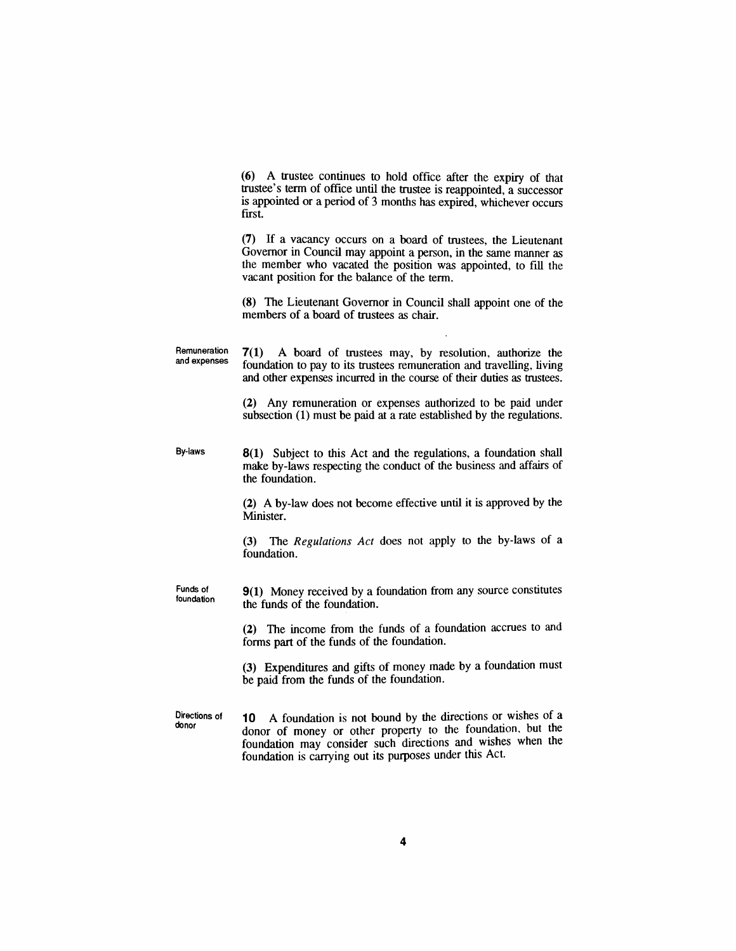*(6) A trustee continues to hold office after the expiry of that trustee's term of office until the trustee is reappointed, a successor is appointed or a period of 3 months has expired, whichever occurs first.*

*(7) If a vacancy occurs on a board of trustees, the Lieutenant Governor in Council may appoint a person, in the same manner as the member who vacated the position was appointed, to fill the vacant position for the balance of the term.*

*(8) The Lieutenant Governor in Council shall appoint one of the members of a board of trustees as chair.*

*Remuneration and expenses 7(1) A board of trustees may, by resolution, authorize the foundation to pay to its trustees remuneration and travelling, living and other expenses incurred in the course of their duties as trustees.*

> *(2) Any remuneration or expenses authorized to be paid under subsection (1) must be paid at a rate established by the regulations.*

*By-laws 8(1) Subject to this Act and the regulations, a foundation shall make by-laws respecting the conduct of the business and affairs of the foundation.*

> *(2) A by-law does not become effective until it is approved by the Minister.*

> *(3) The Regulations Act does not apply to the by-laws of a foundation.*

*Funds of foundation 9(1) Money received by a foundation from any source constitutes the funds of the foundation.*

> *(2) The income from the funds of a foundation accrues to and forms part of the funds of the foundation.*

> *(3) Expenditures and gifts of money made by a foundation must be paid from the funds of the foundation.*

*Directions of donor 10 A foundation is not bound by the directions or wishes of a donor of money or other property to the foundation, but the foundation may consider such directions and wishes when the foundation is carrying out its purposes under this Act.*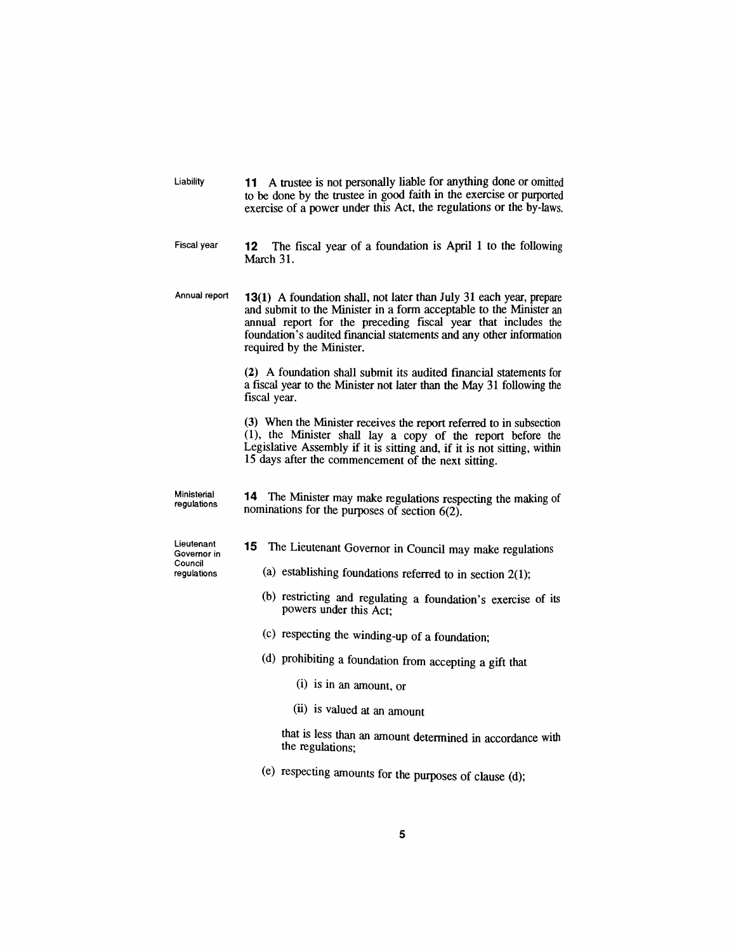| Liability | 11 A trustee is not personally liable for anything done or omitted   |
|-----------|----------------------------------------------------------------------|
|           | to be done by the trustee in good faith in the exercise or purported |
|           | exercise of a power under this Act, the regulations or the by-laws.  |

*Fiscal year 12 The fiscal year of a foundation is April <sup>1</sup> to the following March 31.*

*Annual report 13(1) A foundation shall, not later than July 31 each year, prepare and submit to the Minister in a form acceptable to the Minister an annual report for the preceding fiscal year that includes the foundation's audited financial statements and any other information required by the Minister.*

> *(2) A foundation shall submit its audited financial statements for a fiscal year to the Minister not later than the May 31 following the fiscal year.*

> *(3) When the Minister receives the report referred to in subsection (1), the Minister shall lay a copy of the report before the Legislative Assembly if it is sitting and, if it is not sitting, within 15 days after the commencement of the next sitting.*

*Ministerial regulations*

*14 The Minister may make regulations respecting the making of nominations for the purposes of section 6(2).*

*Lieutenant Governor in Council regulations*

- *15 The Lieutenant Governor in Council may make regulations*
	- *(a) establishing foundations referred to in section 2(1);*
	- *(b) restricting and regulating a foundation's exercise of its powers under this Act;*
	- *(c) respecting the winding-up of a foundation;*
	- *(d) prohibiting a foundation from accepting a gift that*
		- *(i) is in an amount, or*
		- *(ii) is valued at an amount*

*that is less than an amount determined in accordance with the regulations;*

*(e) respecting amounts for the purposes of clause (d);*